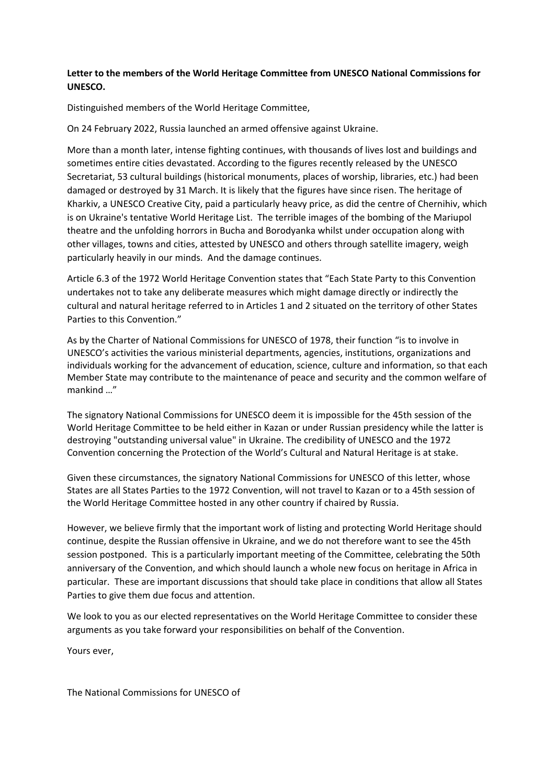## **Letter to the members of the World Heritage Committee from UNESCO National Commissions for UNESCO.**

Distinguished members of the World Heritage Committee,

On 24 February 2022, Russia launched an armed offensive against Ukraine.

More than a month later, intense fighting continues, with thousands of lives lost and buildings and sometimes entire cities devastated. According to the figures recently released by the UNESCO Secretariat, 53 cultural buildings (historical monuments, places of worship, libraries, etc.) had been damaged or destroyed by 31 March. It is likely that the figures have since risen. The heritage of Kharkiv, a UNESCO Creative City, paid a particularly heavy price, as did the centre of Chernihiv, which is on Ukraine's tentative World Heritage List. The terrible images of the bombing of the Mariupol theatre and the unfolding horrors in Bucha and Borodyanka whilst under occupation along with other villages, towns and cities, attested by UNESCO and others through satellite imagery, weigh particularly heavily in our minds. And the damage continues.

Article 6.3 of the 1972 World Heritage Convention states that "Each State Party to this Convention undertakes not to take any deliberate measures which might damage directly or indirectly the cultural and natural heritage referred to in Articles 1 and 2 situated on the territory of other States Parties to this Convention."

As by the Charter of National Commissions for UNESCO of 1978, their function "is to involve in UNESCO's activities the various ministerial departments, agencies, institutions, organizations and individuals working for the advancement of education, science, culture and information, so that each Member State may contribute to the maintenance of peace and security and the common welfare of mankind …"

The signatory National Commissions for UNESCO deem it is impossible for the 45th session of the World Heritage Committee to be held either in Kazan or under Russian presidency while the latter is destroying "outstanding universal value" in Ukraine. The credibility of UNESCO and the 1972 Convention concerning the Protection of the World's Cultural and Natural Heritage is at stake.

Given these circumstances, the signatory National Commissions for UNESCO of this letter, whose States are all States Parties to the 1972 Convention, will not travel to Kazan or to a 45th session of the World Heritage Committee hosted in any other country if chaired by Russia.

However, we believe firmly that the important work of listing and protecting World Heritage should continue, despite the Russian offensive in Ukraine, and we do not therefore want to see the 45th session postponed. This is a particularly important meeting of the Committee, celebrating the 50th anniversary of the Convention, and which should launch a whole new focus on heritage in Africa in particular. These are important discussions that should take place in conditions that allow all States Parties to give them due focus and attention.

We look to you as our elected representatives on the World Heritage Committee to consider these arguments as you take forward your responsibilities on behalf of the Convention.

Yours ever,

The National Commissions for UNESCO of